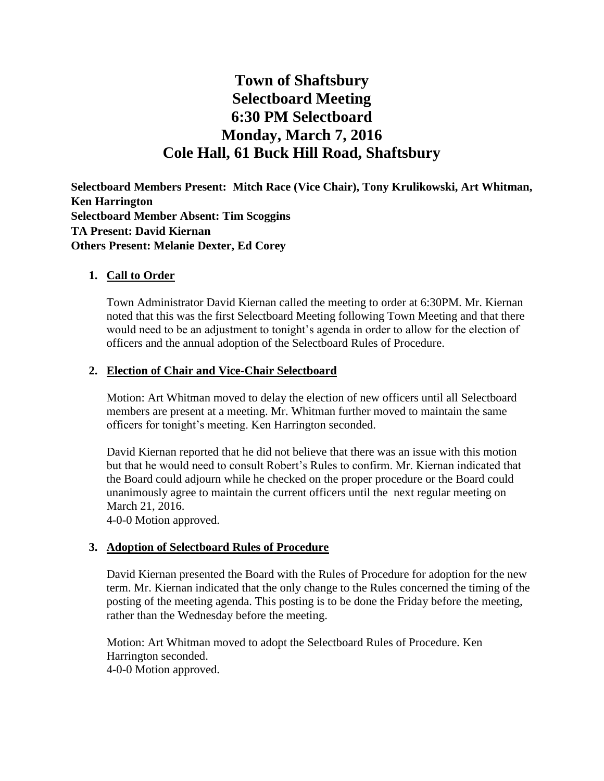# **Town of Shaftsbury Selectboard Meeting 6:30 PM Selectboard Monday, March 7, 2016 Cole Hall, 61 Buck Hill Road, Shaftsbury**

**Selectboard Members Present: Mitch Race (Vice Chair), Tony Krulikowski, Art Whitman, Ken Harrington Selectboard Member Absent: Tim Scoggins TA Present: David Kiernan Others Present: Melanie Dexter, Ed Corey**

#### **1. Call to Order**

Town Administrator David Kiernan called the meeting to order at 6:30PM. Mr. Kiernan noted that this was the first Selectboard Meeting following Town Meeting and that there would need to be an adjustment to tonight's agenda in order to allow for the election of officers and the annual adoption of the Selectboard Rules of Procedure.

#### **2. Election of Chair and Vice-Chair Selectboard**

Motion: Art Whitman moved to delay the election of new officers until all Selectboard members are present at a meeting. Mr. Whitman further moved to maintain the same officers for tonight's meeting. Ken Harrington seconded.

David Kiernan reported that he did not believe that there was an issue with this motion but that he would need to consult Robert's Rules to confirm. Mr. Kiernan indicated that the Board could adjourn while he checked on the proper procedure or the Board could unanimously agree to maintain the current officers until the next regular meeting on March 21, 2016.

4-0-0 Motion approved.

#### **3. Adoption of Selectboard Rules of Procedure**

David Kiernan presented the Board with the Rules of Procedure for adoption for the new term. Mr. Kiernan indicated that the only change to the Rules concerned the timing of the posting of the meeting agenda. This posting is to be done the Friday before the meeting, rather than the Wednesday before the meeting.

Motion: Art Whitman moved to adopt the Selectboard Rules of Procedure. Ken Harrington seconded.

4-0-0 Motion approved.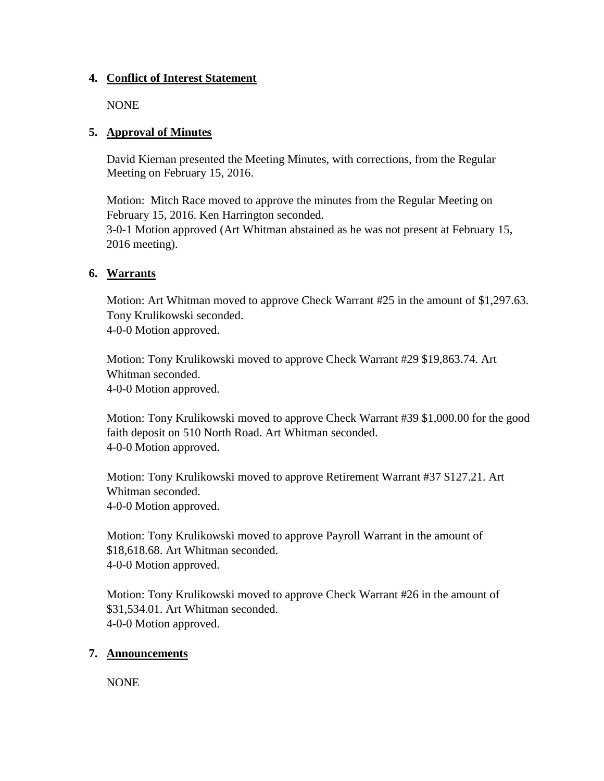#### **4. Conflict of Interest Statement**

NONE

## **5. Approval of Minutes**

David Kiernan presented the Meeting Minutes, with corrections, from the Regular Meeting on February 15, 2016.

Motion: Mitch Race moved to approve the minutes from the Regular Meeting on February 15, 2016. Ken Harrington seconded. 3-0-1 Motion approved (Art Whitman abstained as he was not present at February 15,

2016 meeting).

# **6. Warrants**

Motion: Art Whitman moved to approve Check Warrant #25 in the amount of \$1,297.63. Tony Krulikowski seconded. 4-0-0 Motion approved.

Motion: Tony Krulikowski moved to approve Check Warrant #29 \$19,863.74. Art Whitman seconded. 4-0-0 Motion approved.

Motion: Tony Krulikowski moved to approve Check Warrant #39 \$1,000.00 for the good faith deposit on 510 North Road. Art Whitman seconded. 4-0-0 Motion approved.

Motion: Tony Krulikowski moved to approve Retirement Warrant #37 \$127.21. Art Whitman seconded. 4-0-0 Motion approved.

Motion: Tony Krulikowski moved to approve Payroll Warrant in the amount of \$18,618.68. Art Whitman seconded. 4-0-0 Motion approved.

Motion: Tony Krulikowski moved to approve Check Warrant #26 in the amount of \$31,534.01. Art Whitman seconded. 4-0-0 Motion approved.

# **7. Announcements**

NONE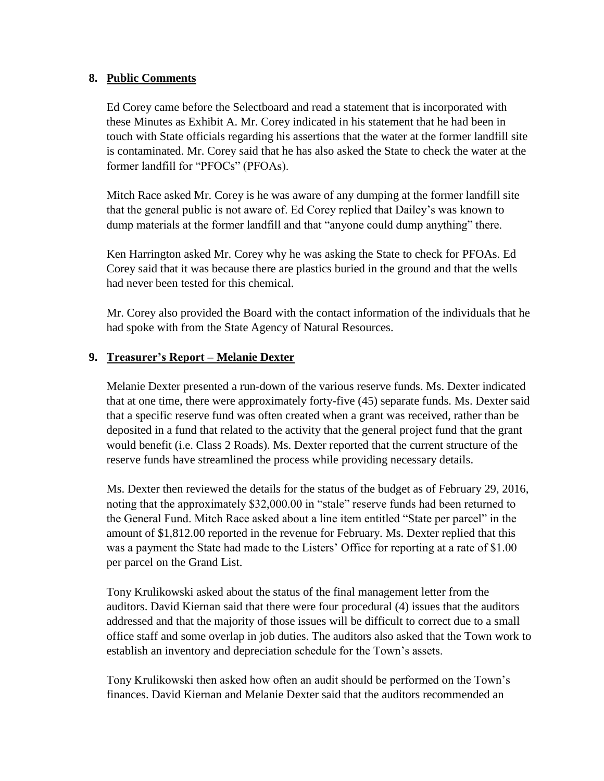#### **8. Public Comments**

Ed Corey came before the Selectboard and read a statement that is incorporated with these Minutes as Exhibit A. Mr. Corey indicated in his statement that he had been in touch with State officials regarding his assertions that the water at the former landfill site is contaminated. Mr. Corey said that he has also asked the State to check the water at the former landfill for "PFOCs" (PFOAs).

Mitch Race asked Mr. Corey is he was aware of any dumping at the former landfill site that the general public is not aware of. Ed Corey replied that Dailey's was known to dump materials at the former landfill and that "anyone could dump anything" there.

Ken Harrington asked Mr. Corey why he was asking the State to check for PFOAs. Ed Corey said that it was because there are plastics buried in the ground and that the wells had never been tested for this chemical.

Mr. Corey also provided the Board with the contact information of the individuals that he had spoke with from the State Agency of Natural Resources.

#### **9. Treasurer's Report – Melanie Dexter**

Melanie Dexter presented a run-down of the various reserve funds. Ms. Dexter indicated that at one time, there were approximately forty-five (45) separate funds. Ms. Dexter said that a specific reserve fund was often created when a grant was received, rather than be deposited in a fund that related to the activity that the general project fund that the grant would benefit (i.e. Class 2 Roads). Ms. Dexter reported that the current structure of the reserve funds have streamlined the process while providing necessary details.

Ms. Dexter then reviewed the details for the status of the budget as of February 29, 2016, noting that the approximately \$32,000.00 in "stale" reserve funds had been returned to the General Fund. Mitch Race asked about a line item entitled "State per parcel" in the amount of \$1,812.00 reported in the revenue for February. Ms. Dexter replied that this was a payment the State had made to the Listers' Office for reporting at a rate of \$1.00 per parcel on the Grand List.

Tony Krulikowski asked about the status of the final management letter from the auditors. David Kiernan said that there were four procedural (4) issues that the auditors addressed and that the majority of those issues will be difficult to correct due to a small office staff and some overlap in job duties. The auditors also asked that the Town work to establish an inventory and depreciation schedule for the Town's assets.

Tony Krulikowski then asked how often an audit should be performed on the Town's finances. David Kiernan and Melanie Dexter said that the auditors recommended an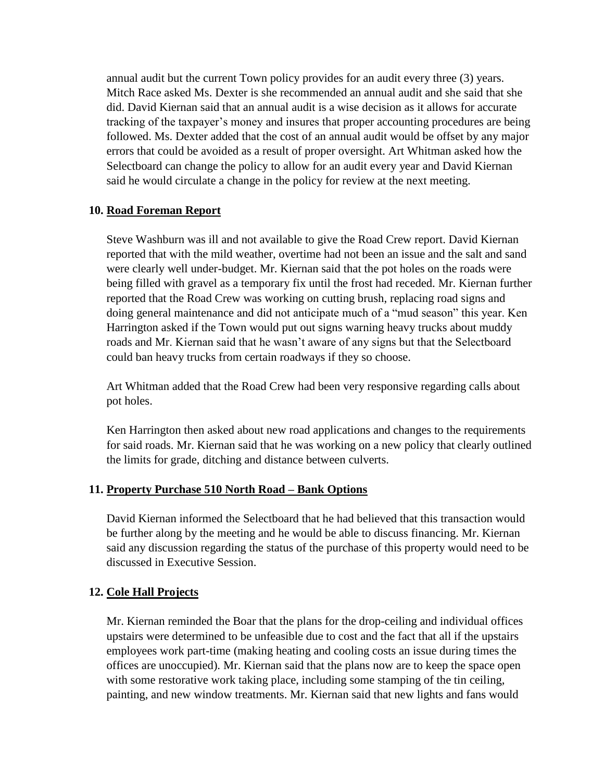annual audit but the current Town policy provides for an audit every three (3) years. Mitch Race asked Ms. Dexter is she recommended an annual audit and she said that she did. David Kiernan said that an annual audit is a wise decision as it allows for accurate tracking of the taxpayer's money and insures that proper accounting procedures are being followed. Ms. Dexter added that the cost of an annual audit would be offset by any major errors that could be avoided as a result of proper oversight. Art Whitman asked how the Selectboard can change the policy to allow for an audit every year and David Kiernan said he would circulate a change in the policy for review at the next meeting.

#### **10. Road Foreman Report**

Steve Washburn was ill and not available to give the Road Crew report. David Kiernan reported that with the mild weather, overtime had not been an issue and the salt and sand were clearly well under-budget. Mr. Kiernan said that the pot holes on the roads were being filled with gravel as a temporary fix until the frost had receded. Mr. Kiernan further reported that the Road Crew was working on cutting brush, replacing road signs and doing general maintenance and did not anticipate much of a "mud season" this year. Ken Harrington asked if the Town would put out signs warning heavy trucks about muddy roads and Mr. Kiernan said that he wasn't aware of any signs but that the Selectboard could ban heavy trucks from certain roadways if they so choose.

Art Whitman added that the Road Crew had been very responsive regarding calls about pot holes.

Ken Harrington then asked about new road applications and changes to the requirements for said roads. Mr. Kiernan said that he was working on a new policy that clearly outlined the limits for grade, ditching and distance between culverts.

#### **11. Property Purchase 510 North Road – Bank Options**

David Kiernan informed the Selectboard that he had believed that this transaction would be further along by the meeting and he would be able to discuss financing. Mr. Kiernan said any discussion regarding the status of the purchase of this property would need to be discussed in Executive Session.

#### **12. Cole Hall Projects**

Mr. Kiernan reminded the Boar that the plans for the drop-ceiling and individual offices upstairs were determined to be unfeasible due to cost and the fact that all if the upstairs employees work part-time (making heating and cooling costs an issue during times the offices are unoccupied). Mr. Kiernan said that the plans now are to keep the space open with some restorative work taking place, including some stamping of the tin ceiling, painting, and new window treatments. Mr. Kiernan said that new lights and fans would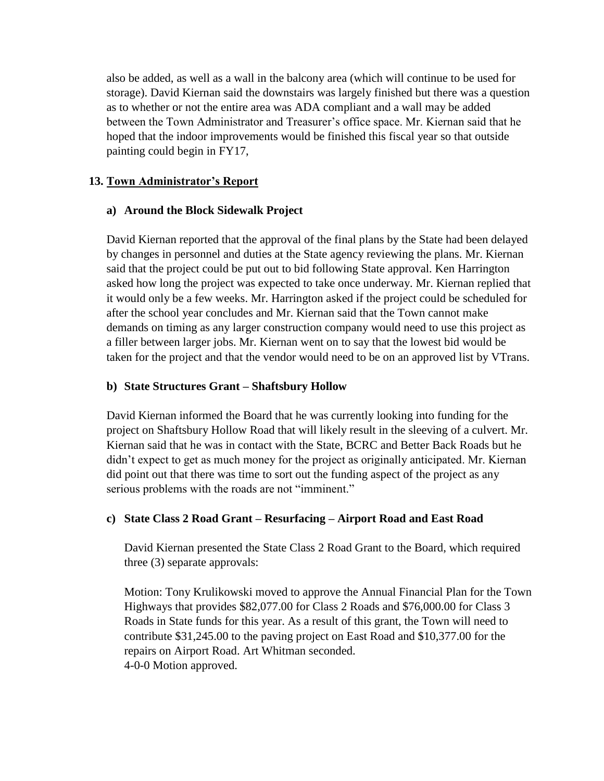also be added, as well as a wall in the balcony area (which will continue to be used for storage). David Kiernan said the downstairs was largely finished but there was a question as to whether or not the entire area was ADA compliant and a wall may be added between the Town Administrator and Treasurer's office space. Mr. Kiernan said that he hoped that the indoor improvements would be finished this fiscal year so that outside painting could begin in FY17,

## **13. Town Administrator's Report**

#### **a) Around the Block Sidewalk Project**

David Kiernan reported that the approval of the final plans by the State had been delayed by changes in personnel and duties at the State agency reviewing the plans. Mr. Kiernan said that the project could be put out to bid following State approval. Ken Harrington asked how long the project was expected to take once underway. Mr. Kiernan replied that it would only be a few weeks. Mr. Harrington asked if the project could be scheduled for after the school year concludes and Mr. Kiernan said that the Town cannot make demands on timing as any larger construction company would need to use this project as a filler between larger jobs. Mr. Kiernan went on to say that the lowest bid would be taken for the project and that the vendor would need to be on an approved list by VTrans.

## **b) State Structures Grant – Shaftsbury Hollow**

David Kiernan informed the Board that he was currently looking into funding for the project on Shaftsbury Hollow Road that will likely result in the sleeving of a culvert. Mr. Kiernan said that he was in contact with the State, BCRC and Better Back Roads but he didn't expect to get as much money for the project as originally anticipated. Mr. Kiernan did point out that there was time to sort out the funding aspect of the project as any serious problems with the roads are not "imminent."

# **c) State Class 2 Road Grant – Resurfacing – Airport Road and East Road**

David Kiernan presented the State Class 2 Road Grant to the Board, which required three (3) separate approvals:

Motion: Tony Krulikowski moved to approve the Annual Financial Plan for the Town Highways that provides \$82,077.00 for Class 2 Roads and \$76,000.00 for Class 3 Roads in State funds for this year. As a result of this grant, the Town will need to contribute \$31,245.00 to the paving project on East Road and \$10,377.00 for the repairs on Airport Road. Art Whitman seconded. 4-0-0 Motion approved.